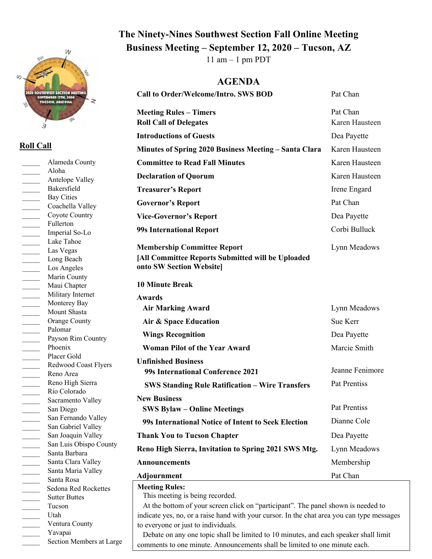

## **Roll Call**

**Meeting Rules:** This meeting is being recorded. At the bottom of your screen click on "participant". The panel shown is needed to indicate yes, no, or a raise hand with your cursor. In the chat area you can type messages to everyone or just to individuals. Debate on any one topic shall be limited to 10 minutes, and each speaker shall limit comments to one minute. Announcements shall be limited to one minute each. \_\_\_\_\_ Alameda County \_\_\_\_\_ Aloha Antelope Valley \_\_\_\_\_ Bakersfield \_\_\_\_\_ Bay Cities Coachella Valley \_\_\_\_\_ Coyote Country Fullerton \_\_\_\_\_ Imperial So-Lo \_\_\_\_\_ Lake Tahoe \_\_\_\_\_ Las Vegas Long Beach Los Angeles Marin County \_\_\_\_\_ Maui Chapter Military Internet Monterey Bay Mount Shasta Orange County Palomar Payson Rim Country Phoenix Placer Gold \_\_\_\_\_ Redwood Coast Flyers \_\_\_\_\_ Reno Area \_\_\_\_\_ Reno High Sierra \_\_\_\_\_ Rio Colorado Sacramento Valley San Diego San Fernando Valley \_\_\_\_\_\_\_ San Gabriel Valley San Joaquin Valley San Luis Obispo County \_\_\_\_\_ Santa Barbara Santa Clara Valley Santa Maria Valley \_\_\_\_\_ Santa Rosa \_\_\_\_\_ Sedona Red Rockettes Sutter Buttes \_\_\_\_\_ Tucson \_\_\_\_\_ Utah Ventura County Yavapai Section Members at Large **Minutes of Spring 2020 Business Meeting – Santa Clara Committee to Read Fall Minutes** Karen Hausteen Karen Hausteen **Declaration of Quorum** Karen Hausteen **Treasurer's Report** Irene Engard Governor's Report Pat Chan **Vice-Governor's Report** Dea Payette **99s International Report** Corbi Bulluck **Membership Committee Report [All Committee Reports Submitted will be Uploaded onto SW Section Website] 10 Minute Break Awards** Lynn Meadows  **Air Marking Award Air & Space Education Wings Recognition Woman Pilot of the Year Award** Lynn Meadows Sue Kerr Dea Payette Marcie Smith **Unfinished Business 99s International Conference 2021 SWS Standing Rule Ratification – Wire Transfers** Jeanne Fenimore Pat Prentiss **New Business SWS Bylaw – Online Meetings 99s International Notice of Intent to Seek Election** Pat Prentiss Dianne Cole **Thank You to Tucson Chapter** Dea Payette **Reno High Sierra, Invitation to Spring 2021 SWS Mtg.** Lynn Meadows Announcements Membership **Adjournment** Pat Chan

## **The Ninety-Nines Southwest Section Fall Online Meeting Business Meeting – September 12, 2020 – Tucson, AZ**

11 am  $-1$  pm PDT

## **AGENDA**

**Call to Order/Welcome/Intro. SWS BOD** Pat Chan

**Meeting Rules – Timers** Pat Chan

**Roll Call of Delegates** Karen Hausteen

**Introductions of Guests** Dea Payette